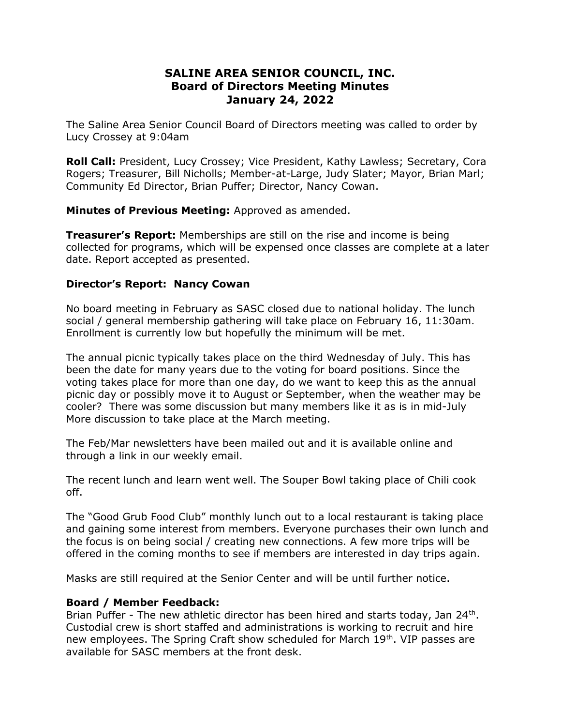## SALINE AREA SENIOR COUNCIL, INC. Board of Directors Meeting Minutes January 24, 2022

The Saline Area Senior Council Board of Directors meeting was called to order by Lucy Crossey at 9:04am

Roll Call: President, Lucy Crossey; Vice President, Kathy Lawless; Secretary, Cora Rogers; Treasurer, Bill Nicholls; Member-at-Large, Judy Slater; Mayor, Brian Marl; Community Ed Director, Brian Puffer; Director, Nancy Cowan.

Minutes of Previous Meeting: Approved as amended.

**Treasurer's Report:** Memberships are still on the rise and income is being collected for programs, which will be expensed once classes are complete at a later date. Report accepted as presented.

## Director's Report: Nancy Cowan

No board meeting in February as SASC closed due to national holiday. The lunch social / general membership gathering will take place on February 16, 11:30am. Enrollment is currently low but hopefully the minimum will be met.

The annual picnic typically takes place on the third Wednesday of July. This has been the date for many years due to the voting for board positions. Since the voting takes place for more than one day, do we want to keep this as the annual picnic day or possibly move it to August or September, when the weather may be cooler? There was some discussion but many members like it as is in mid-July More discussion to take place at the March meeting.

The Feb/Mar newsletters have been mailed out and it is available online and through a link in our weekly email.

The recent lunch and learn went well. The Souper Bowl taking place of Chili cook off.

The "Good Grub Food Club" monthly lunch out to a local restaurant is taking place and gaining some interest from members. Everyone purchases their own lunch and the focus is on being social / creating new connections. A few more trips will be offered in the coming months to see if members are interested in day trips again.

Masks are still required at the Senior Center and will be until further notice.

## Board / Member Feedback:

Brian Puffer - The new athletic director has been hired and starts today, Jan 24<sup>th</sup>. Custodial crew is short staffed and administrations is working to recruit and hire new employees. The Spring Craft show scheduled for March 19th. VIP passes are available for SASC members at the front desk.